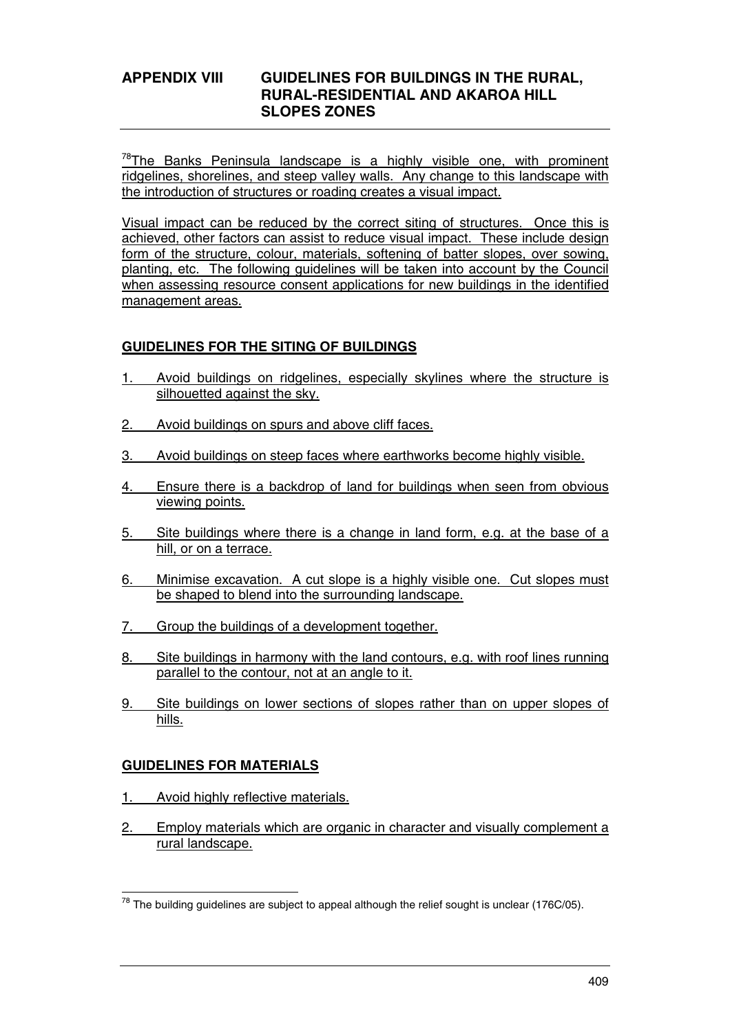# **APPENDIX VIII GUIDELINES FOR BUILDINGS IN THE RURAL, RURAL-RESIDENTIAL AND AKAROA HILL SLOPES ZONES**

 $78$ The Banks Peninsula landscape is a highly visible one, with prominent ridgelines, shorelines, and steep valley walls. Any change to this landscape with the introduction of structures or roading creates a visual impact.

Visual impact can be reduced by the correct siting of structures. Once this is achieved, other factors can assist to reduce visual impact. These include design form of the structure, colour, materials, softening of batter slopes, over sowing, planting, etc. The following guidelines will be taken into account by the Council when assessing resource consent applications for new buildings in the identified management areas.

# **GUIDELINES FOR THE SITING OF BUILDINGS**

- Avoid buildings on ridgelines, especially skylines where the structure is silhouetted against the sky.
- 2. Avoid buildings on spurs and above cliff faces.
- 3. Avoid buildings on steep faces where earthworks become highly visible.
- 4. Ensure there is a backdrop of land for buildings when seen from obvious viewing points.
- 5. Site buildings where there is a change in land form, e.g. at the base of a hill, or on a terrace.
- 6. Minimise excavation. A cut slope is a highly visible one. Cut slopes must be shaped to blend into the surrounding landscape.
- 7. Group the buildings of a development together.
- 8. Site buildings in harmony with the land contours, e.g. with roof lines running parallel to the contour, not at an angle to it.
- 9. Site buildings on lower sections of slopes rather than on upper slopes of hills.

#### **GUIDELINES FOR MATERIALS**

- 1. Avoid highly reflective materials.
- 2. Employ materials which are organic in character and visually complement a rural landscape.

 $\overline{a}$  $^{78}$  The building guidelines are subject to appeal although the relief sought is unclear (176C/05).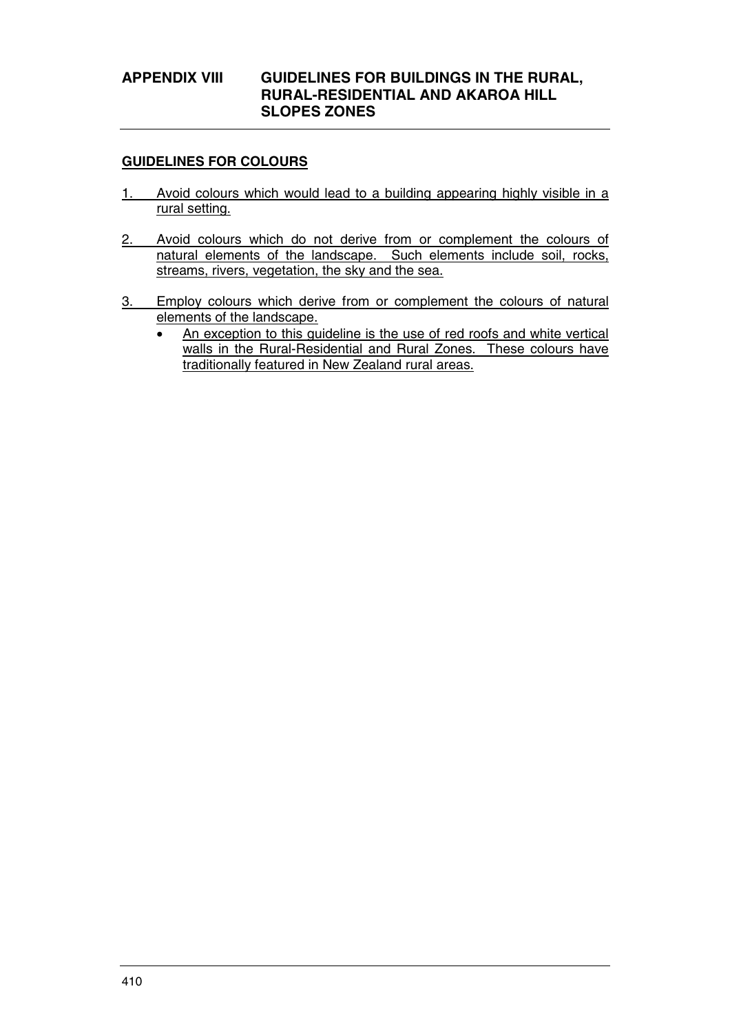# **APPENDIX VIII GUIDELINES FOR BUILDINGS IN THE RURAL, RURAL-RESIDENTIAL AND AKAROA HILL SLOPES ZONES**

### **GUIDELINES FOR COLOURS**

- 1. Avoid colours which would lead to a building appearing highly visible in a rural setting.
- 2. Avoid colours which do not derive from or complement the colours of natural elements of the landscape. Such elements include soil, rocks, streams, rivers, vegetation, the sky and the sea.
- 3. Employ colours which derive from or complement the colours of natural elements of the landscape.
	- An exception to this guideline is the use of red roofs and white vertical walls in the Rural-Residential and Rural Zones. These colours have traditionally featured in New Zealand rural areas.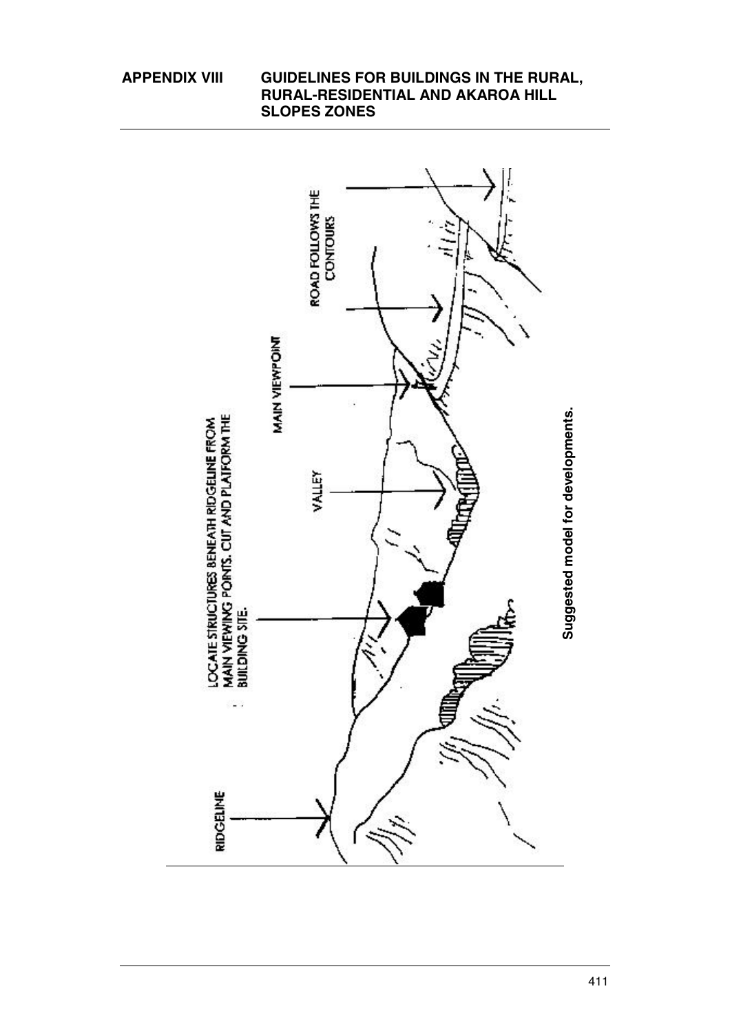**RURAL-RESIDENTIAL AND AKAROA HILL SLOPES ZONES**  ROAD FOLLOWS THE **CONTOURS** MAIN VIEWPOINT **Suggested model for developments.** Suggested model for developments. LOCATE STRUCTURES BENEATH RIDGELINE FROM<br>MAIN VIEWING PONTS. CUT AND PLATFORM THE<br>BUILDING SITE. VALLEY ¥. RIDGEINE